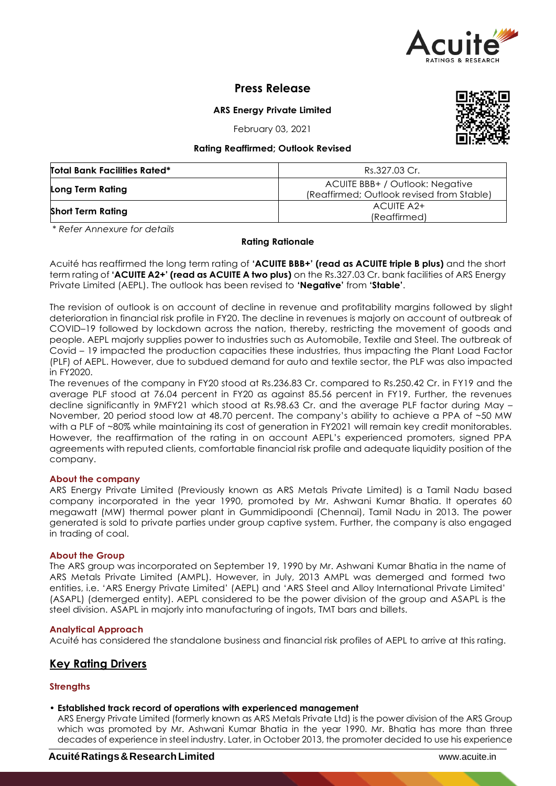

**Press Release**

**ARS Energy Private Limited**

February 03, 2021

#### **Rating Reaffirmed; Outlook Revised**

| <b>Total Bank Facilities Rated*</b> | Rs.327.03 Cr.                                                                |  |  |
|-------------------------------------|------------------------------------------------------------------------------|--|--|
| Long Term Rating                    | ACUITE BBB+ / Outlook: Negative<br>(Reaffirmed; Outlook revised from Stable) |  |  |
| <b>Short Term Rating</b>            | ACUITE A2+<br>(Reaffirmed)                                                   |  |  |

*\* Refer Annexure for details*

#### **Rating Rationale**

Acuité has reaffirmed the long term rating of **'ACUITE BBB+' (read as ACUITE triple B plus)** and the short term rating of **'ACUITE A2+' (read as ACUITE A two plus)** on the Rs.327.03 Cr. bank facilities of ARS Energy Private Limited (AEPL). The outlook has been revised to **'Negative'** from **'Stable'**.

The revision of outlook is on account of decline in revenue and profitability margins followed by slight deterioration in financial risk profile in FY20. The decline in revenues is majorly on account of outbreak of COVID–19 followed by lockdown across the nation, thereby, restricting the movement of goods and people. AEPL majorly supplies power to industries such as Automobile, Textile and Steel. The outbreak of Covid – 19 impacted the production capacities these industries, thus impacting the Plant Load Factor (PLF) of AEPL. However, due to subdued demand for auto and textile sector, the PLF was also impacted in FY2020.

The revenues of the company in FY20 stood at Rs.236.83 Cr. compared to Rs.250.42 Cr. in FY19 and the average PLF stood at 76.04 percent in FY20 as against 85.56 percent in FY19. Further, the revenues decline significantly in 9MFY21 which stood at Rs.98.63 Cr. and the average PLF factor during May – November, 20 period stood low at 48.70 percent. The company's ability to achieve a PPA of ~50 MW with a PLF of ~80% while maintaining its cost of generation in FY2021 will remain key credit monitorables. However, the reaffirmation of the rating in on account AEPL's experienced promoters, signed PPA agreements with reputed clients, comfortable financial risk profile and adequate liquidity position of the company.

#### **About the company**

ARS Energy Private Limited (Previously known as ARS Metals Private Limited) is a Tamil Nadu based company incorporated in the year 1990, promoted by Mr. Ashwani Kumar Bhatia. It operates 60 megawatt (MW) thermal power plant in Gummidipoondi (Chennai), Tamil Nadu in 2013. The power generated is sold to private parties under group captive system. Further, the company is also engaged in trading of coal.

## **About the Group**

The ARS group was incorporated on September 19, 1990 by Mr. Ashwani Kumar Bhatia in the name of ARS Metals Private Limited (AMPL). However, in July, 2013 AMPL was demerged and formed two entities, i.e. 'ARS Energy Private Limited' (AEPL) and 'ARS Steel and Alloy International Private Limited' (ASAPL) (demerged entity). AEPL considered to be the power division of the group and ASAPL is the steel division. ASAPL in majorly into manufacturing of ingots, TMT bars and billets.

#### **Analytical Approach**

Acuité has considered the standalone business and financial risk profiles of AEPL to arrive at this rating.

# **Key Rating Drivers**

## **Strengths**

• **Established track record of operations with experienced management**

ARS Energy Private Limited (formerly known as ARS Metals Private Ltd) is the power division of the ARS Group which was promoted by Mr. Ashwani Kumar Bhatia in the year 1990. Mr. Bhatia has more than three decades of experience in steel industry. Later, in October 2013, the promoter decided to use his experience

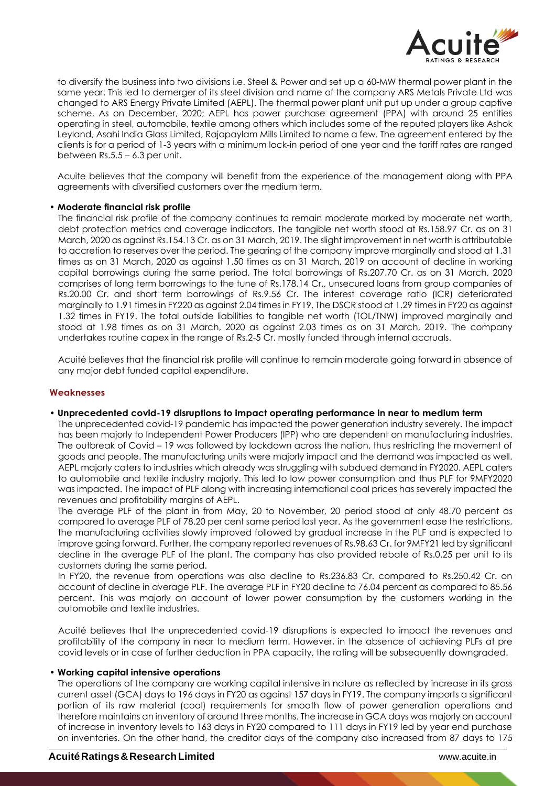

to diversify the business into two divisions i.e. Steel & Power and set up a 60-MW thermal power plant in the same year. This led to demerger of its steel division and name of the company ARS Metals Private Ltd was changed to ARS Energy Private Limited (AEPL). The thermal power plant unit put up under a group captive scheme. As on December, 2020; AEPL has power purchase agreement (PPA) with around 25 entities operating in steel, automobile, textile among others which includes some of the reputed players like Ashok Leyland, Asahi India Glass Limited, Rajapaylam Mills Limited to name a few. The agreement entered by the clients is for a period of 1-3 years with a minimum lock-in period of one year and the tariff rates are ranged between Rs.5.5 – 6.3 per unit.

Acuite believes that the company will benefit from the experience of the management along with PPA agreements with diversified customers over the medium term.

#### • **Moderate financial risk profile**

The financial risk profile of the company continues to remain moderate marked by moderate net worth, debt protection metrics and coverage indicators. The tangible net worth stood at Rs.158.97 Cr. as on 31 March, 2020 as against Rs.154.13 Cr. as on 31 March, 2019. The slight improvement in net worth is attributable to accretion to reserves over the period. The gearing of the company improve marginally and stood at 1.31 times as on 31 March, 2020 as against 1.50 times as on 31 March, 2019 on account of decline in working capital borrowings during the same period. The total borrowings of Rs.207.70 Cr. as on 31 March, 2020 comprises of long term borrowings to the tune of Rs.178.14 Cr., unsecured loans from group companies of Rs.20.00 Cr. and short term borrowings of Rs.9.56 Cr. The interest coverage ratio (ICR) deteriorated marginally to 1.91 times in FY220 as against 2.04 times in FY19. The DSCR stood at 1.29 times in FY20 as against 1.32 times in FY19. The total outside liabilities to tangible net worth (TOL/TNW) improved marginally and stood at 1.98 times as on 31 March, 2020 as against 2.03 times as on 31 March, 2019. The company undertakes routine capex in the range of Rs.2-5 Cr. mostly funded through internal accruals.

Acuité believes that the financial risk profile will continue to remain moderate going forward in absence of any major debt funded capital expenditure.

#### **Weaknesses**

#### • **Unprecedented covid-19 disruptions to impact operating performance in near to medium term**

The unprecedented covid-19 pandemic has impacted the power generation industry severely. The impact has been majorly to Independent Power Producers (IPP) who are dependent on manufacturing industries. The outbreak of Covid – 19 was followed by lockdown across the nation, thus restricting the movement of goods and people. The manufacturing units were majorly impact and the demand was impacted as well. AEPL majorly caters to industries which already was struggling with subdued demand in FY2020. AEPL caters to automobile and textile industry majorly. This led to low power consumption and thus PLF for 9MFY2020 was impacted. The impact of PLF along with increasing international coal prices has severely impacted the revenues and profitability margins of AEPL.

The average PLF of the plant in from May, 20 to November, 20 period stood at only 48.70 percent as compared to average PLF of 78.20 per cent same period last year. As the government ease the restrictions, the manufacturing activities slowly improved followed by gradual increase in the PLF and is expected to improve going forward. Further, the company reported revenues of Rs.98.63 Cr. for 9MFY21 led by significant decline in the average PLF of the plant. The company has also provided rebate of Rs.0.25 per unit to its customers during the same period.

In FY20, the revenue from operations was also decline to Rs.236.83 Cr. compared to Rs.250.42 Cr. on account of decline in average PLF. The average PLF in FY20 decline to 76.04 percent as compared to 85.56 percent. This was majorly on account of lower power consumption by the customers working in the automobile and textile industries.

Acuité believes that the unprecedented covid-19 disruptions is expected to impact the revenues and profitability of the company in near to medium term. However, in the absence of achieving PLFs at pre covid levels or in case of further deduction in PPA capacity, the rating will be subsequently downgraded.

#### • **Working capital intensive operations**

The operations of the company are working capital intensive in nature as reflected by increase in its gross current asset (GCA) days to 196 days in FY20 as against 157 days in FY19. The company imports a significant portion of its raw material (coal) requirements for smooth flow of power generation operations and therefore maintains an inventory of around three months. The increase in GCA days was majorly on account of increase in inventory levels to 163 days in FY20 compared to 111 days in FY19 led by year end purchase on inventories. On the other hand, the creditor days of the company also increased from 87 days to 175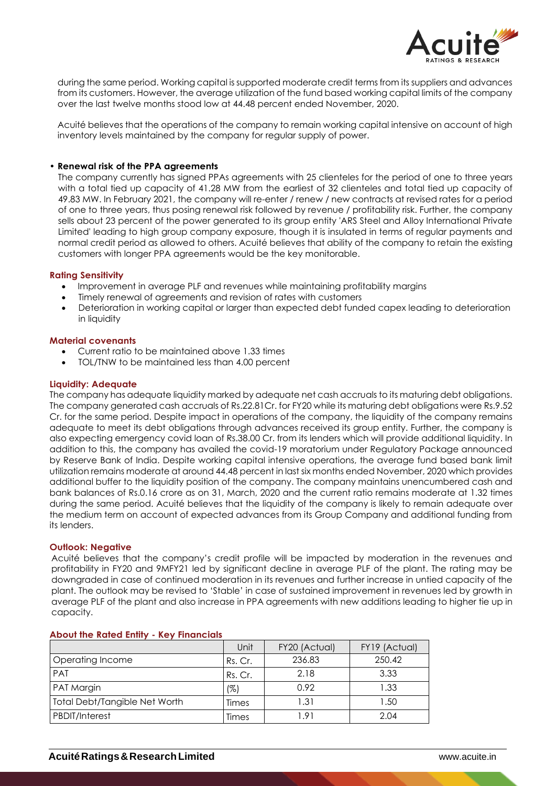

during the same period. Working capital is supported moderate credit terms from its suppliers and advances from its customers. However, the average utilization of the fund based working capital limits of the company over the last twelve months stood low at 44.48 percent ended November, 2020.

Acuité believes that the operations of the company to remain working capital intensive on account of high inventory levels maintained by the company for regular supply of power.

#### • **Renewal risk of the PPA agreements**

The company currently has signed PPAs agreements with 25 clienteles for the period of one to three years with a total tied up capacity of 41.28 MW from the earliest of 32 clienteles and total tied up capacity of 49.83 MW. In February 2021, the company will re-enter / renew / new contracts at revised rates for a period of one to three years, thus posing renewal risk followed by revenue / profitability risk. Further, the company sells about 23 percent of the power generated to its group entity 'ARS Steel and Alloy International Private Limited' leading to high group company exposure, though it is insulated in terms of regular payments and normal credit period as allowed to others. Acuité believes that ability of the company to retain the existing customers with longer PPA agreements would be the key monitorable.

#### **Rating Sensitivity**

- Improvement in average PLF and revenues while maintaining profitability margins
- Timely renewal of agreements and revision of rates with customers
- Deterioration in working capital or larger than expected debt funded capex leading to deterioration in liquidity

#### **Material covenants**

- Current ratio to be maintained above 1.33 times
- TOL/TNW to be maintained less than 4.00 percent

#### **Liquidity: Adequate**

The company has adequate liquidity marked by adequate net cash accruals to its maturing debt obligations. The company generated cash accruals of Rs.22.81Cr. for FY20 while its maturing debt obligations were Rs.9.52 Cr. for the same period. Despite impact in operations of the company, the liquidity of the company remains adequate to meet its debt obligations through advances received its group entity. Further, the company is also expecting emergency covid loan of Rs.38.00 Cr. from its lenders which will provide additional liquidity. In addition to this, the company has availed the covid-19 moratorium under Regulatory Package announced by Reserve Bank of India. Despite working capital intensive operations, the average fund based bank limit utilization remains moderate at around 44.48 percent in last six months ended November, 2020 which provides additional buffer to the liquidity position of the company. The company maintains unencumbered cash and bank balances of Rs.0.16 crore as on 31, March, 2020 and the current ratio remains moderate at 1.32 times during the same period. Acuité believes that the liquidity of the company is likely to remain adequate over the medium term on account of expected advances from its Group Company and additional funding from its lenders.

#### **Outlook: Negative**

Acuité believes that the company's credit profile will be impacted by moderation in the revenues and profitability in FY20 and 9MFY21 led by significant decline in average PLF of the plant. The rating may be downgraded in case of continued moderation in its revenues and further increase in untied capacity of the plant. The outlook may be revised to 'Stable' in case of sustained improvement in revenues led by growth in average PLF of the plant and also increase in PPA agreements with new additions leading to higher tie up in capacity.

|                               | Unit    | FY20 (Actual) | FY19 (Actual) |
|-------------------------------|---------|---------------|---------------|
| Operating Income              | Rs. Cr. | 236.83        | 250.42        |
| <b>PAT</b>                    | Rs. Cr. | 2.18          | 3.33          |
| PAT Margin                    | (%)     | 0.92          | 1.33          |
| Total Debt/Tangible Net Worth | Times   | 1.31          | 1.50          |
| <b>PBDIT/Interest</b>         | Times   | 191           | 2.04          |

#### **About the Rated Entity - Key Financials**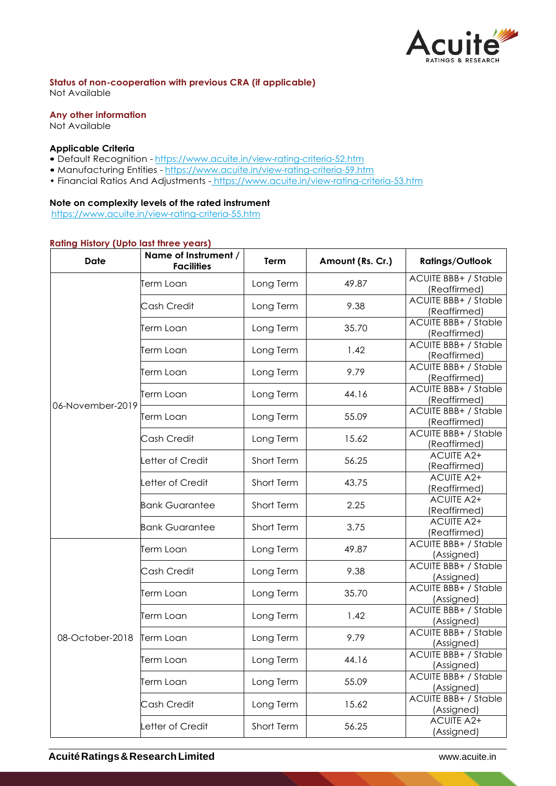

**Status of non-cooperation with previous CRA (if applicable)**

Not Available

## **Any other information**

Not Available

#### **Applicable Criteria**

- Default Recognition https://www.acuite.in/view-rating-criteria-52.htm
- Manufacturing Entities https://www.acuite.in/view-rating-criteria-59.htm
- Financial Ratios And Adjustments https://www.acuite.in/view-rating-criteria-53.htm

## **Note on complexity levels of the rated instrument**

https://www.acuite.in/view-rating-criteria-55.htm

## **Rating History (Upto last three years)**

| Name of Instrument /<br><b>Date</b><br><b>Facilities</b> |                       | Term       | Amount (Rs. Cr.) | <b>Ratings/Outlook</b>                      |
|----------------------------------------------------------|-----------------------|------------|------------------|---------------------------------------------|
|                                                          | Term Loan             | Long Term  | 49.87            | <b>ACUITE BBB+ / Stable</b><br>(Reaffirmed) |
|                                                          | Cash Credit           | Long Term  | 9.38             | <b>ACUITE BBB+ / Stable</b><br>(Reaffirmed) |
|                                                          | Term Loan             | Long Term  | 35.70            | <b>ACUITE BBB+ / Stable</b><br>(Reaffirmed) |
|                                                          | Term Loan             | Long Term  | 1.42             | <b>ACUITE BBB+ / Stable</b><br>(Reaffirmed) |
|                                                          | Term Loan             | Long Term  | 9.79             | <b>ACUITE BBB+ / Stable</b><br>(Reaffirmed) |
|                                                          | Term Loan             | Long Term  | 44.16            | <b>ACUITE BBB+ / Stable</b><br>(Reaffirmed) |
| 06-November-2019                                         | Term Loan             | Long Term  | 55.09            | <b>ACUITE BBB+ / Stable</b><br>(Reaffirmed) |
|                                                          | Cash Credit           | Long Term  | 15.62            | <b>ACUITE BBB+ / Stable</b><br>(Reaffirmed) |
|                                                          | etter of Credit       | Short Term | 56.25            | <b>ACUITE A2+</b><br>(Reaffirmed)           |
|                                                          | Letter of Credit      | Short Term | 43.75            | <b>ACUITE A2+</b><br>(Reaffirmed)           |
|                                                          | <b>Bank Guarantee</b> | Short Term | 2.25             | <b>ACUITE A2+</b><br>(Reaffirmed)           |
|                                                          | <b>Bank Guarantee</b> | Short Term | 3.75             | <b>ACUITE A2+</b><br>(Reaffirmed)           |
| 08-October-2018                                          | Term Loan             | Long Term  | 49.87            | <b>ACUITE BBB+ / Stable</b><br>(Assigned)   |
|                                                          | Cash Credit           | Long Term  | 9.38             | <b>ACUITE BBB+ / Stable</b><br>(Assigned)   |
|                                                          | Term Loan             | Long Term  | 35.70            | <b>ACUITE BBB+ / Stable</b><br>(Assigned)   |
|                                                          | Term Loan             | Long Term  | 1.42             | <b>ACUITE BBB+ / Stable</b><br>(Assigned)   |
|                                                          | <b>Term Loan</b>      | Long Term  | 9.79             | <b>ACUITE BBB+ / Stable</b><br>(Assigned)   |
|                                                          | Term Loan             | Long Term  | 44.16            | <b>ACUITE BBB+ / Stable</b><br>(Assigned)   |
|                                                          | Term Loan             | Long Term  | 55.09            | <b>ACUITE BBB+ / Stable</b><br>(Assigned)   |
|                                                          | Cash Credit           | Long Term  | 15.62            | <b>ACUITE BBB+ / Stable</b><br>(Assigned)   |
|                                                          | Letter of Credit      | Short Term | 56.25            | <b>ACUITE A2+</b><br>(Assigned)             |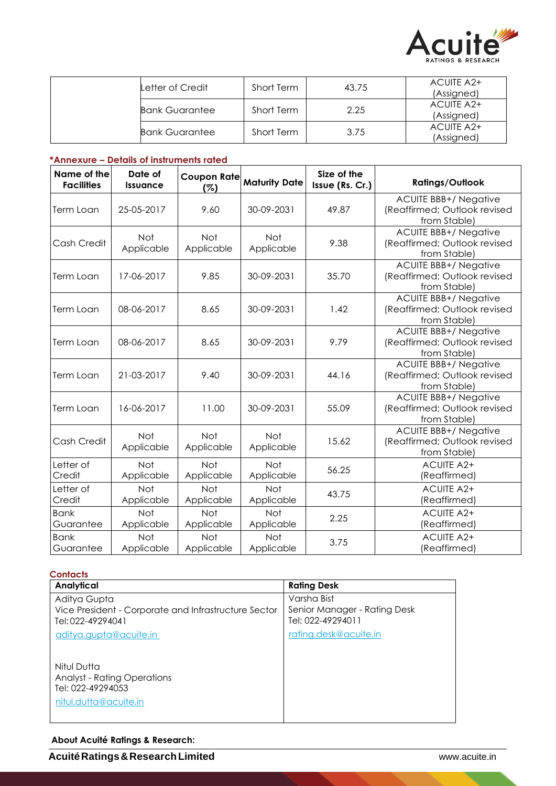

| Letter of Credit      | Short Term | 43.75 | ACUITE A2+<br>(Assigned) |
|-----------------------|------------|-------|--------------------------|
| <b>Bank Guarantee</b> | Short Term | 2.25  | ACUITE A2+<br>(Assigned) |
| <b>Bank Guarantee</b> | Short Term | 3.75  | ACUITE A2+<br>(Assigned) |

## **\*Annexure – Details of instruments rated**

| Name of the<br><b>Facilities</b> | Date of<br><b>Issuance</b> | <b>Coupon Rate</b><br>(%) | <b>Maturity Date</b>     | Size of the<br>Issue (Rs. Cr.) | <b>Ratings/Outlook</b>                                                       |
|----------------------------------|----------------------------|---------------------------|--------------------------|--------------------------------|------------------------------------------------------------------------------|
| Term Loan                        | 25-05-2017                 | 9.60                      | 30-09-2031               | 49.87                          | <b>ACUITE BBB+/ Negative</b><br>(Reaffirmed; Outlook revised<br>from Stable) |
| Cash Credit                      | <b>Not</b><br>Applicable   | <b>Not</b><br>Applicable  | <b>Not</b><br>Applicable | 9.38                           | <b>ACUITE BBB+/ Negative</b><br>(Reaffirmed; Outlook revised<br>from Stable) |
| Term Loan                        | 17-06-2017                 | 9.85                      | 30-09-2031               | 35.70                          | <b>ACUITE BBB+/ Negative</b><br>(Reaffirmed; Outlook revised<br>from Stable) |
| Term Loan                        | 08-06-2017                 | 8.65                      | 30-09-2031               | 1.42                           | <b>ACUITE BBB+/ Negative</b><br>(Reaffirmed; Outlook revised<br>from Stable) |
| Term Loan                        | 08-06-2017                 | 8.65                      | 30-09-2031               | 9.79                           | <b>ACUITE BBB+/ Negative</b><br>(Reaffirmed; Outlook revised<br>from Stable) |
| <b>Term Loan</b>                 | 21-03-2017                 | 9.40                      | 30-09-2031               | 44.16                          | <b>ACUITE BBB+/ Negative</b><br>(Reaffirmed; Outlook revised<br>from Stable) |
| Term Loan                        | 16-06-2017                 | 11.00                     | 30-09-2031               | 55.09                          | <b>ACUITE BBB+/ Negative</b><br>(Reaffirmed; Outlook revised<br>from Stable) |
| Cash Credit                      | Not<br>Applicable          | Not<br>Applicable         | Not<br>Applicable        | 15.62                          | <b>ACUITE BBB+/ Negative</b><br>(Reaffirmed; Outlook revised<br>from Stable) |
| Letter of<br>Credit              | Not<br>Applicable          | <b>Not</b><br>Applicable  | Not<br>Applicable        | 56.25                          | <b>ACUITE A2+</b><br>(Reaffirmed)                                            |
| Letter of<br>Credit              | Not<br>Applicable          | <b>Not</b><br>Applicable  | Not<br>Applicable        | 43.75                          | <b>ACUITE A2+</b><br>(Reaffirmed)                                            |
| <b>Bank</b><br>Guarantee         | Not<br>Applicable          | Not<br>Applicable         | Not<br>Applicable        | 2.25                           | <b>ACUITE A2+</b><br>(Reaffirmed)                                            |
| <b>Bank</b><br>Guarantee         | Not<br>Applicable          | Not<br>Applicable         | Not<br>Applicable        | 3.75                           | <b>ACUITE A2+</b><br>(Reaffirmed)                                            |

| Contacts                                                                                        |                                                                  |
|-------------------------------------------------------------------------------------------------|------------------------------------------------------------------|
| Analytical                                                                                      | <b>Rating Desk</b>                                               |
| Aditya Gupta<br>Vice President - Corporate and Infrastructure Sector<br>Tel: 022-49294041       | Varsha Bist<br>Senior Manager - Rating Desk<br>Tel: 022-49294011 |
| <u>aditya.gupta@acuite.in</u>                                                                   | rating.desk@acuite.in                                            |
| Nitul Dutta<br><b>Analyst - Rating Operations</b><br>Tel: 022-49294053<br>nitul.dutta@acuite.in |                                                                  |

# **About Acuité Ratings & Research:**